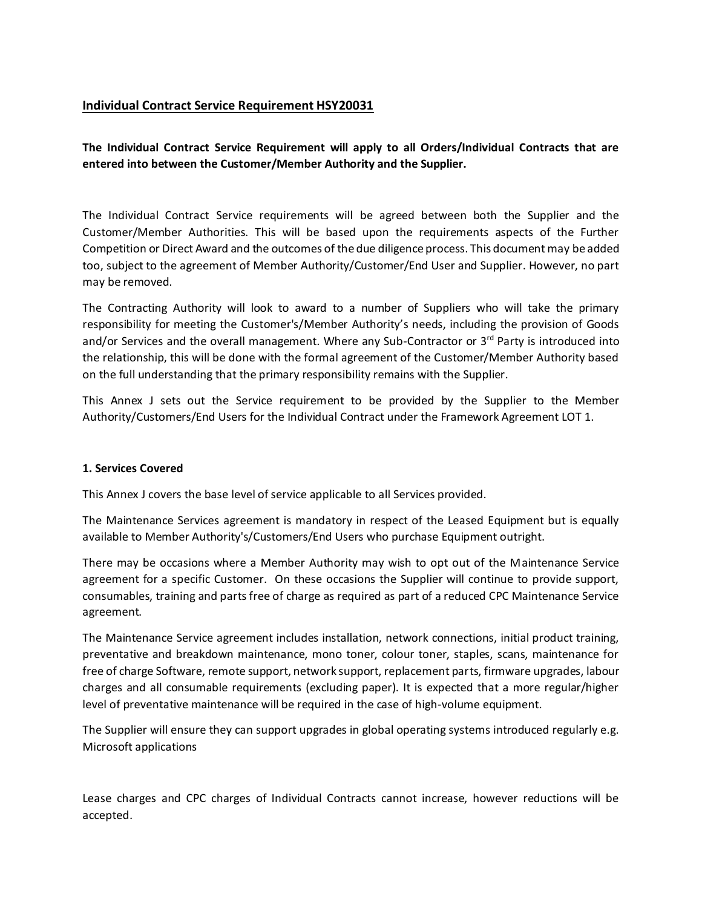## **Individual Contract Service Requirement HSY20031**

**The Individual Contract Service Requirement will apply to all Orders/Individual Contracts that are entered into between the Customer/Member Authority and the Supplier.**

The Individual Contract Service requirements will be agreed between both the Supplier and the Customer/Member Authorities. This will be based upon the requirements aspects of the Further Competition or Direct Award and the outcomes of the due diligence process. This document may be added too, subject to the agreement of Member Authority/Customer/End User and Supplier. However, no part may be removed.

The Contracting Authority will look to award to a number of Suppliers who will take the primary responsibility for meeting the Customer's/Member Authority's needs, including the provision of Goods and/or Services and the overall management. Where any Sub-Contractor or 3<sup>rd</sup> Party is introduced into the relationship, this will be done with the formal agreement of the Customer/Member Authority based on the full understanding that the primary responsibility remains with the Supplier.

This Annex J sets out the Service requirement to be provided by the Supplier to the Member Authority/Customers/End Users for the Individual Contract under the Framework Agreement LOT 1.

#### **1. Services Covered**

This Annex J covers the base level of service applicable to all Services provided.

The Maintenance Services agreement is mandatory in respect of the Leased Equipment but is equally available to Member Authority's/Customers/End Users who purchase Equipment outright.

There may be occasions where a Member Authority may wish to opt out of the Maintenance Service agreement for a specific Customer. On these occasions the Supplier will continue to provide support, consumables, training and parts free of charge as required as part of a reduced CPC Maintenance Service agreement.

The Maintenance Service agreement includes installation, network connections, initial product training, preventative and breakdown maintenance, mono toner, colour toner, staples, scans, maintenance for free of charge Software, remote support, network support, replacement parts, firmware upgrades, labour charges and all consumable requirements (excluding paper). It is expected that a more regular/higher level of preventative maintenance will be required in the case of high-volume equipment.

The Supplier will ensure they can support upgrades in global operating systems introduced regularly e.g. Microsoft applications

Lease charges and CPC charges of Individual Contracts cannot increase, however reductions will be accepted.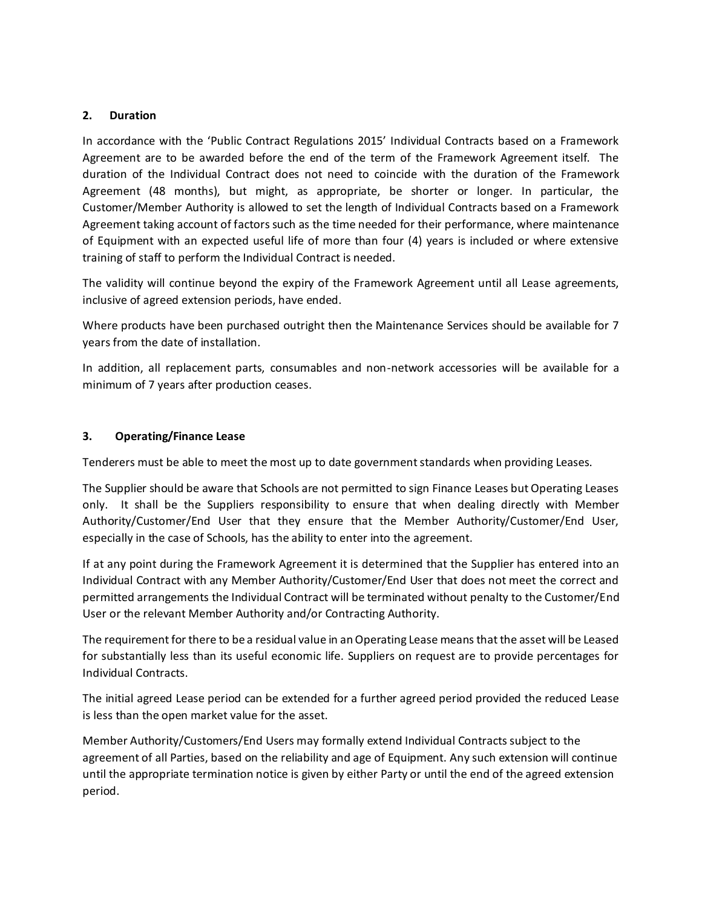### **2. Duration**

In accordance with the 'Public Contract Regulations 2015' Individual Contracts based on a Framework Agreement are to be awarded before the end of the term of the Framework Agreement itself. The duration of the Individual Contract does not need to coincide with the duration of the Framework Agreement (48 months), but might, as appropriate, be shorter or longer. In particular, the Customer/Member Authority is allowed to set the length of Individual Contracts based on a Framework Agreement taking account of factors such as the time needed for their performance, where maintenance of Equipment with an expected useful life of more than four (4) years is included or where extensive training of staff to perform the Individual Contract is needed.

The validity will continue beyond the expiry of the Framework Agreement until all Lease agreements, inclusive of agreed extension periods, have ended.

Where products have been purchased outright then the Maintenance Services should be available for 7 years from the date of installation.

In addition, all replacement parts, consumables and non-network accessories will be available for a minimum of 7 years after production ceases.

#### **3. Operating/Finance Lease**

Tenderers must be able to meet the most up to date government standards when providing Leases.

The Supplier should be aware that Schools are not permitted to sign Finance Leases but Operating Leases only. It shall be the Suppliers responsibility to ensure that when dealing directly with Member Authority/Customer/End User that they ensure that the Member Authority/Customer/End User, especially in the case of Schools, has the ability to enter into the agreement.

If at any point during the Framework Agreement it is determined that the Supplier has entered into an Individual Contract with any Member Authority/Customer/End User that does not meet the correct and permitted arrangements the Individual Contract will be terminated without penalty to the Customer/End User or the relevant Member Authority and/or Contracting Authority.

The requirement for there to be a residual value in an Operating Lease means that the asset will be Leased for substantially less than its useful economic life. Suppliers on request are to provide percentages for Individual Contracts.

The initial agreed Lease period can be extended for a further agreed period provided the reduced Lease is less than the open market value for the asset.

Member Authority/Customers/End Users may formally extend Individual Contracts subject to the agreement of all Parties, based on the reliability and age of Equipment. Any such extension will continue until the appropriate termination notice is given by either Party or until the end of the agreed extension period.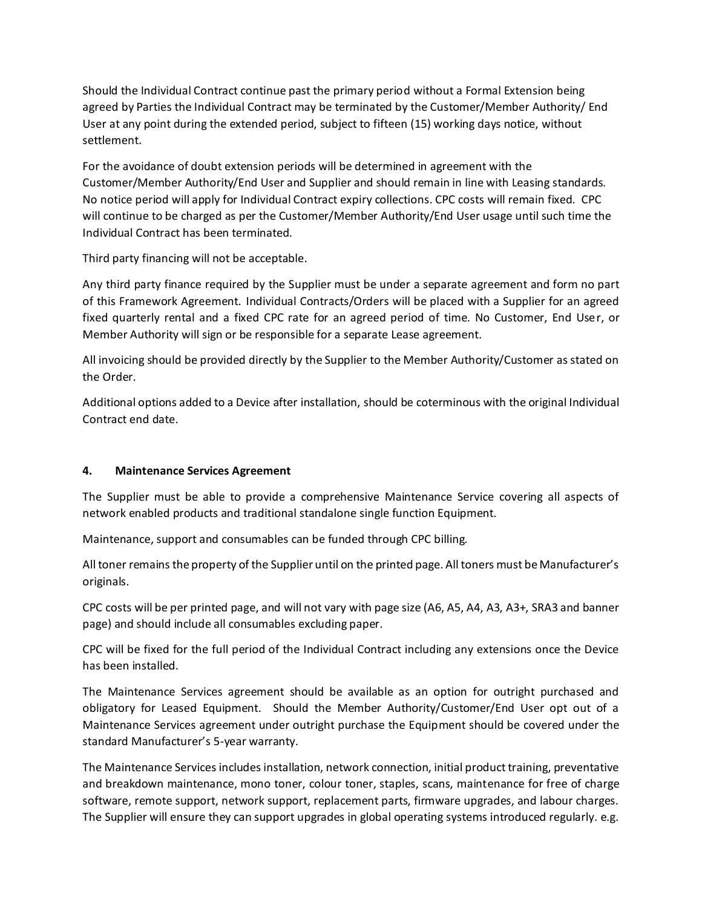Should the Individual Contract continue past the primary period without a Formal Extension being agreed by Parties the Individual Contract may be terminated by the Customer/Member Authority/ End User at any point during the extended period, subject to fifteen (15) working days notice, without settlement.

For the avoidance of doubt extension periods will be determined in agreement with the Customer/Member Authority/End User and Supplier and should remain in line with Leasing standards. No notice period will apply for Individual Contract expiry collections. CPC costs will remain fixed. CPC will continue to be charged as per the Customer/Member Authority/End User usage until such time the Individual Contract has been terminated.

Third party financing will not be acceptable.

Any third party finance required by the Supplier must be under a separate agreement and form no part of this Framework Agreement. Individual Contracts/Orders will be placed with a Supplier for an agreed fixed quarterly rental and a fixed CPC rate for an agreed period of time. No Customer, End User, or Member Authority will sign or be responsible for a separate Lease agreement.

All invoicing should be provided directly by the Supplier to the Member Authority/Customer as stated on the Order.

Additional options added to a Device after installation, should be coterminous with the original Individual Contract end date.

## **4. Maintenance Services Agreement**

The Supplier must be able to provide a comprehensive Maintenance Service covering all aspects of network enabled products and traditional standalone single function Equipment.

Maintenance, support and consumables can be funded through CPC billing.

All toner remains the property of the Supplier until on the printed page. All toners must be Manufacturer's originals.

CPC costs will be per printed page, and will not vary with page size (A6, A5, A4, A3, A3+, SRA3 and banner page) and should include all consumables excluding paper.

CPC will be fixed for the full period of the Individual Contract including any extensions once the Device has been installed.

The Maintenance Services agreement should be available as an option for outright purchased and obligatory for Leased Equipment. Should the Member Authority/Customer/End User opt out of a Maintenance Services agreement under outright purchase the Equipment should be covered under the standard Manufacturer's 5-year warranty.

The Maintenance Services includes installation, network connection, initial product training, preventative and breakdown maintenance, mono toner, colour toner, staples, scans, maintenance for free of charge software, remote support, network support, replacement parts, firmware upgrades, and labour charges. The Supplier will ensure they can support upgrades in global operating systems introduced regularly. e.g.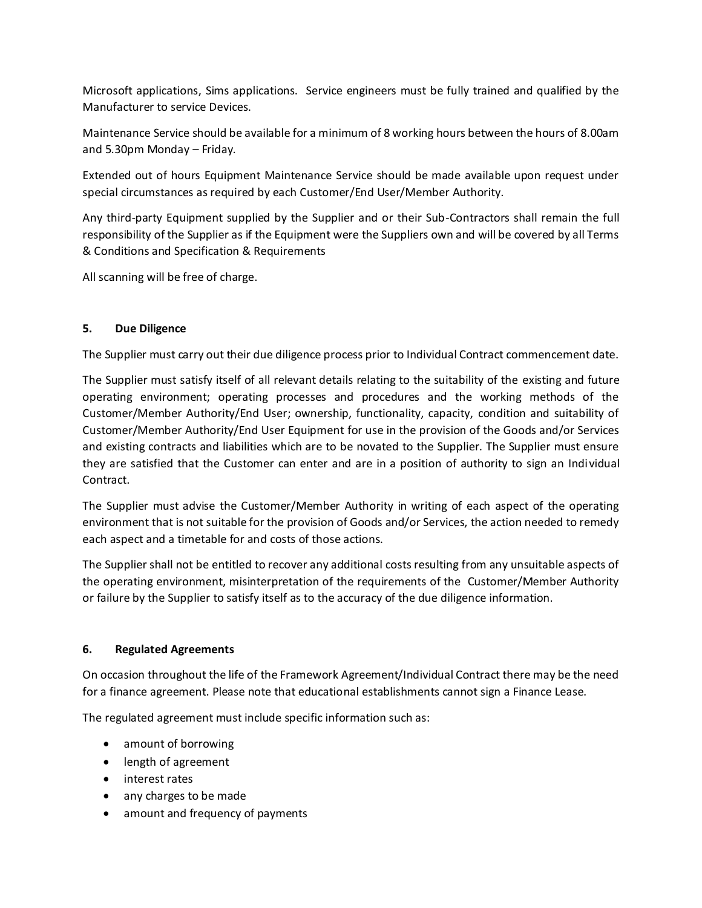Microsoft applications, Sims applications. Service engineers must be fully trained and qualified by the Manufacturer to service Devices.

Maintenance Service should be available for a minimum of 8 working hours between the hours of 8.00am and 5.30pm Monday – Friday.

Extended out of hours Equipment Maintenance Service should be made available upon request under special circumstances as required by each Customer/End User/Member Authority.

Any third-party Equipment supplied by the Supplier and or their Sub-Contractors shall remain the full responsibility of the Supplier as if the Equipment were the Suppliers own and will be covered by all Terms & Conditions and Specification & Requirements

All scanning will be free of charge.

## **5. Due Diligence**

The Supplier must carry out their due diligence process prior to Individual Contract commencement date.

The Supplier must satisfy itself of all relevant details relating to the suitability of the existing and future operating environment; operating processes and procedures and the working methods of the Customer/Member Authority/End User; ownership, functionality, capacity, condition and suitability of Customer/Member Authority/End User Equipment for use in the provision of the Goods and/or Services and existing contracts and liabilities which are to be novated to the Supplier. The Supplier must ensure they are satisfied that the Customer can enter and are in a position of authority to sign an Individual Contract.

The Supplier must advise the Customer/Member Authority in writing of each aspect of the operating environment that is not suitable for the provision of Goods and/or Services, the action needed to remedy each aspect and a timetable for and costs of those actions.

The Supplier shall not be entitled to recover any additional costs resulting from any unsuitable aspects of the operating environment, misinterpretation of the requirements of the Customer/Member Authority or failure by the Supplier to satisfy itself as to the accuracy of the due diligence information.

### **6. Regulated Agreements**

On occasion throughout the life of the Framework Agreement/Individual Contract there may be the need for a finance agreement. Please note that educational establishments cannot sign a Finance Lease.

The regulated agreement must include specific information such as:

- amount of borrowing
- length of agreement
- interest rates
- any charges to be made
- amount and frequency of payments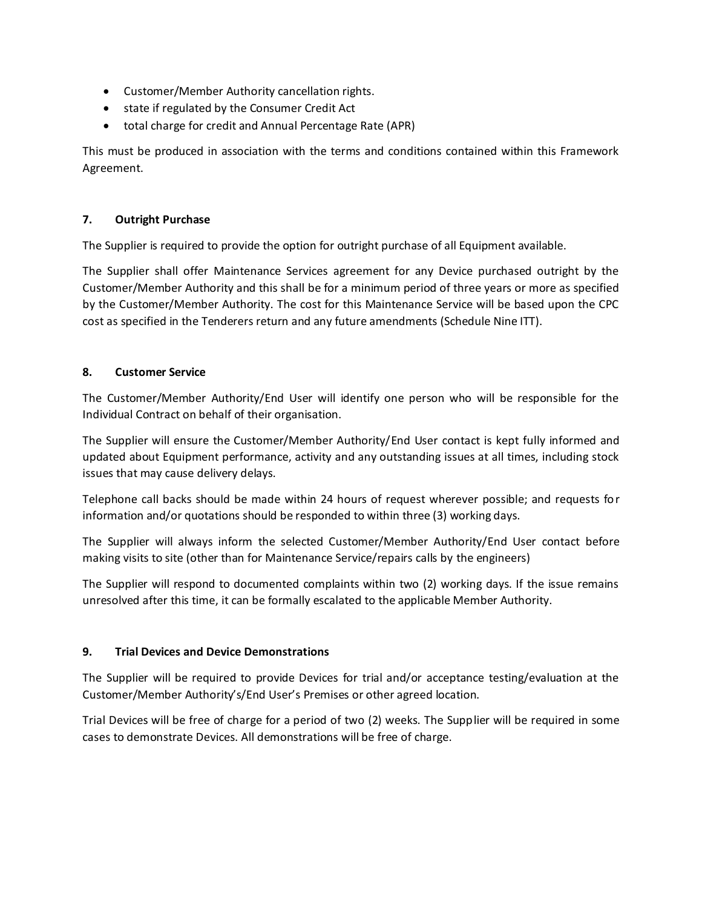- Customer/Member Authority cancellation rights.
- state if regulated by the Consumer Credit Act
- total charge for credit and Annual Percentage Rate (APR)

This must be produced in association with the terms and conditions contained within this Framework Agreement.

## **7. Outright Purchase**

The Supplier is required to provide the option for outright purchase of all Equipment available.

The Supplier shall offer Maintenance Services agreement for any Device purchased outright by the Customer/Member Authority and this shall be for a minimum period of three years or more as specified by the Customer/Member Authority. The cost for this Maintenance Service will be based upon the CPC cost as specified in the Tenderers return and any future amendments (Schedule Nine ITT).

## **8. Customer Service**

The Customer/Member Authority/End User will identify one person who will be responsible for the Individual Contract on behalf of their organisation.

The Supplier will ensure the Customer/Member Authority/End User contact is kept fully informed and updated about Equipment performance, activity and any outstanding issues at all times, including stock issues that may cause delivery delays.

Telephone call backs should be made within 24 hours of request wherever possible; and requests for information and/or quotations should be responded to within three (3) working days.

The Supplier will always inform the selected Customer/Member Authority/End User contact before making visits to site (other than for Maintenance Service/repairs calls by the engineers)

The Supplier will respond to documented complaints within two (2) working days. If the issue remains unresolved after this time, it can be formally escalated to the applicable Member Authority.

### **9. Trial Devices and Device Demonstrations**

The Supplier will be required to provide Devices for trial and/or acceptance testing/evaluation at the Customer/Member Authority's/End User's Premises or other agreed location.

Trial Devices will be free of charge for a period of two (2) weeks. The Supplier will be required in some cases to demonstrate Devices. All demonstrations will be free of charge.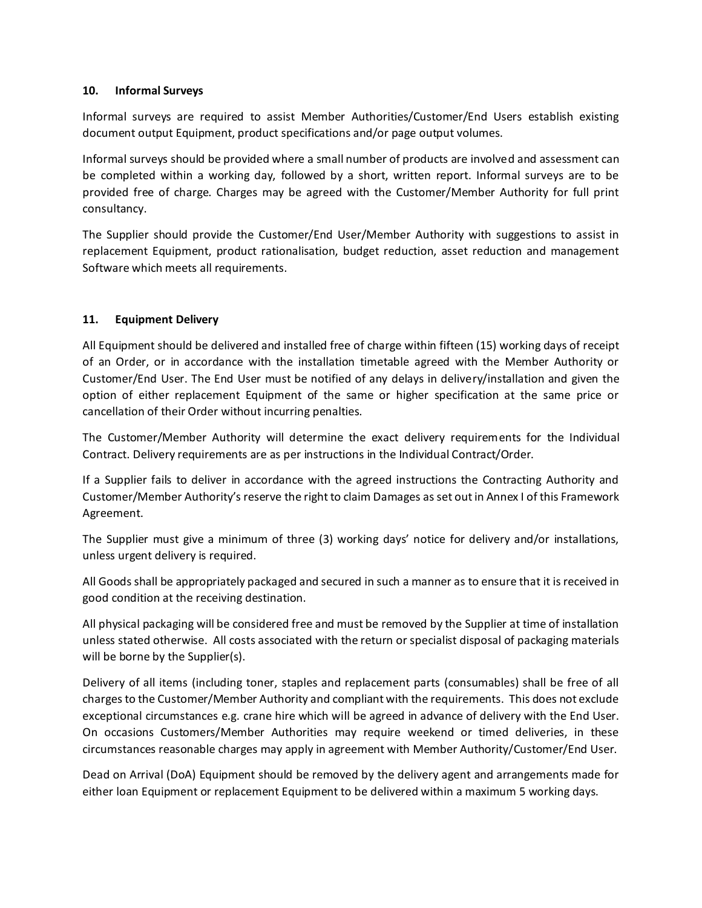### **10. Informal Surveys**

Informal surveys are required to assist Member Authorities/Customer/End Users establish existing document output Equipment, product specifications and/or page output volumes.

Informal surveys should be provided where a small number of products are involved and assessment can be completed within a working day, followed by a short, written report. Informal surveys are to be provided free of charge. Charges may be agreed with the Customer/Member Authority for full print consultancy.

The Supplier should provide the Customer/End User/Member Authority with suggestions to assist in replacement Equipment, product rationalisation, budget reduction, asset reduction and management Software which meets all requirements.

## **11. Equipment Delivery**

All Equipment should be delivered and installed free of charge within fifteen (15) working days of receipt of an Order, or in accordance with the installation timetable agreed with the Member Authority or Customer/End User. The End User must be notified of any delays in delivery/installation and given the option of either replacement Equipment of the same or higher specification at the same price or cancellation of their Order without incurring penalties.

The Customer/Member Authority will determine the exact delivery requirements for the Individual Contract. Delivery requirements are as per instructions in the Individual Contract/Order.

If a Supplier fails to deliver in accordance with the agreed instructions the Contracting Authority and Customer/Member Authority's reserve the right to claim Damages as set out in Annex I of this Framework Agreement.

The Supplier must give a minimum of three (3) working days' notice for delivery and/or installations, unless urgent delivery is required.

All Goods shall be appropriately packaged and secured in such a manner as to ensure that it is received in good condition at the receiving destination.

All physical packaging will be considered free and must be removed by the Supplier at time of installation unless stated otherwise. All costs associated with the return or specialist disposal of packaging materials will be borne by the Supplier(s).

Delivery of all items (including toner, staples and replacement parts (consumables) shall be free of all charges to the Customer/Member Authority and compliant with the requirements. This does not exclude exceptional circumstances e.g. crane hire which will be agreed in advance of delivery with the End User. On occasions Customers/Member Authorities may require weekend or timed deliveries, in these circumstances reasonable charges may apply in agreement with Member Authority/Customer/End User.

Dead on Arrival (DoA) Equipment should be removed by the delivery agent and arrangements made for either loan Equipment or replacement Equipment to be delivered within a maximum 5 working days.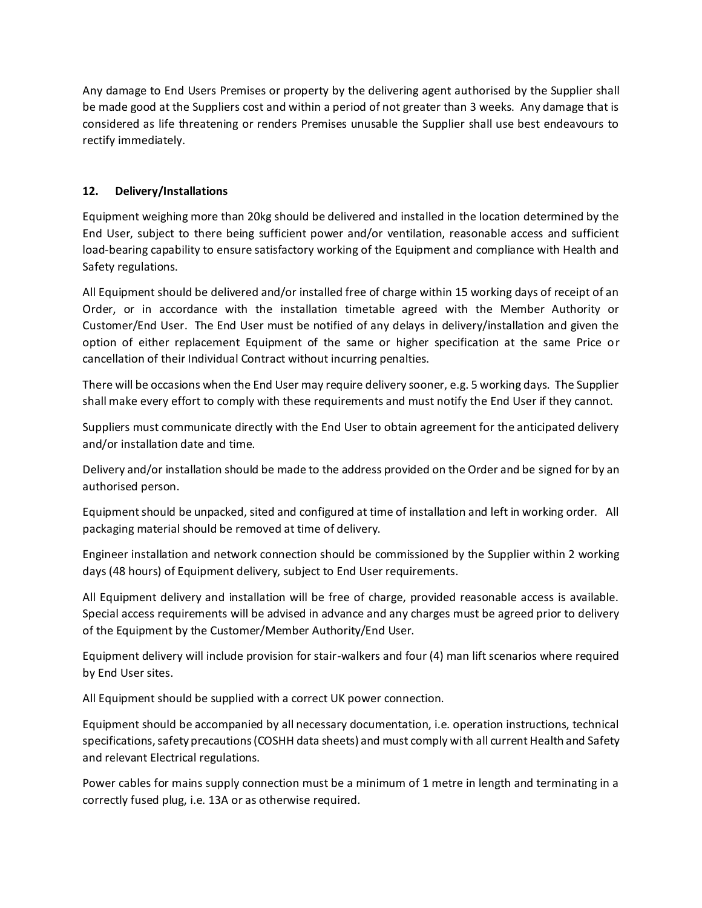Any damage to End Users Premises or property by the delivering agent authorised by the Supplier shall be made good at the Suppliers cost and within a period of not greater than 3 weeks. Any damage that is considered as life threatening or renders Premises unusable the Supplier shall use best endeavours to rectify immediately.

## **12. Delivery/Installations**

Equipment weighing more than 20kg should be delivered and installed in the location determined by the End User, subject to there being sufficient power and/or ventilation, reasonable access and sufficient load-bearing capability to ensure satisfactory working of the Equipment and compliance with Health and Safety regulations.

All Equipment should be delivered and/or installed free of charge within 15 working days of receipt of an Order, or in accordance with the installation timetable agreed with the Member Authority or Customer/End User. The End User must be notified of any delays in delivery/installation and given the option of either replacement Equipment of the same or higher specification at the same Price or cancellation of their Individual Contract without incurring penalties.

There will be occasions when the End User may require delivery sooner, e.g. 5 working days. The Supplier shall make every effort to comply with these requirements and must notify the End User if they cannot.

Suppliers must communicate directly with the End User to obtain agreement for the anticipated delivery and/or installation date and time.

Delivery and/or installation should be made to the address provided on the Order and be signed for by an authorised person.

Equipment should be unpacked, sited and configured at time of installation and left in working order. All packaging material should be removed at time of delivery.

Engineer installation and network connection should be commissioned by the Supplier within 2 working days (48 hours) of Equipment delivery, subject to End User requirements.

All Equipment delivery and installation will be free of charge, provided reasonable access is available. Special access requirements will be advised in advance and any charges must be agreed prior to delivery of the Equipment by the Customer/Member Authority/End User.

Equipment delivery will include provision for stair-walkers and four (4) man lift scenarios where required by End User sites.

All Equipment should be supplied with a correct UK power connection.

Equipment should be accompanied by all necessary documentation, i.e. operation instructions, technical specifications, safety precautions (COSHH data sheets) and must comply with all current Health and Safety and relevant Electrical regulations.

Power cables for mains supply connection must be a minimum of 1 metre in length and terminating in a correctly fused plug, i.e. 13A or as otherwise required.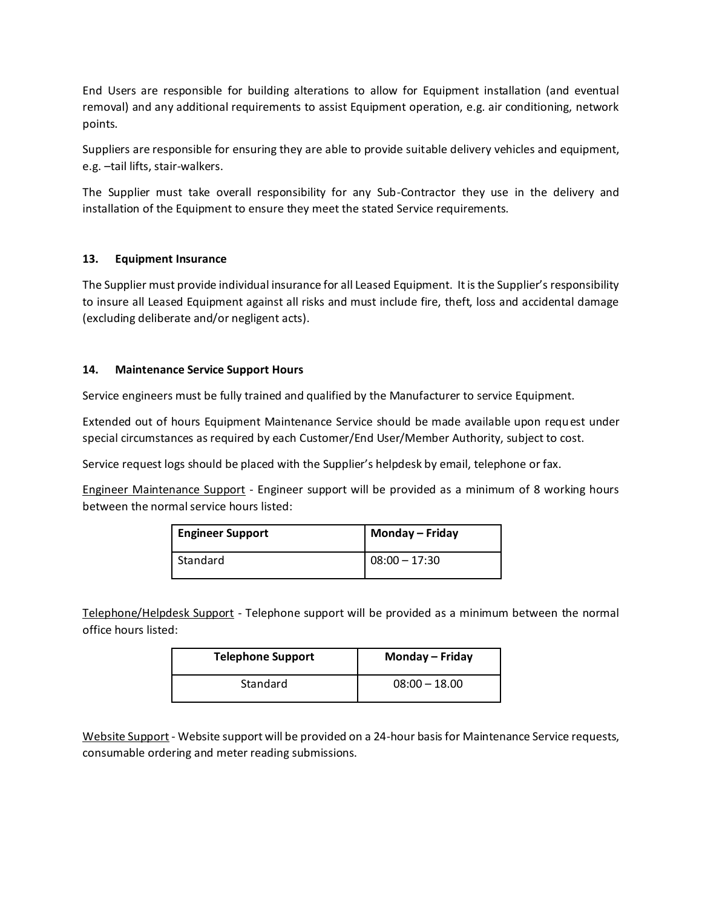End Users are responsible for building alterations to allow for Equipment installation (and eventual removal) and any additional requirements to assist Equipment operation, e.g. air conditioning, network points.

Suppliers are responsible for ensuring they are able to provide suitable delivery vehicles and equipment, e.g. –tail lifts, stair-walkers.

The Supplier must take overall responsibility for any Sub-Contractor they use in the delivery and installation of the Equipment to ensure they meet the stated Service requirements.

## **13. Equipment Insurance**

The Supplier must provide individual insurance for all Leased Equipment. It is the Supplier's responsibility to insure all Leased Equipment against all risks and must include fire, theft, loss and accidental damage (excluding deliberate and/or negligent acts).

## **14. Maintenance Service Support Hours**

Service engineers must be fully trained and qualified by the Manufacturer to service Equipment.

Extended out of hours Equipment Maintenance Service should be made available upon request under special circumstances as required by each Customer/End User/Member Authority, subject to cost.

Service request logs should be placed with the Supplier's helpdesk by email, telephone or fax.

Engineer Maintenance Support - Engineer support will be provided as a minimum of 8 working hours between the normal service hours listed:

| <b>Engineer Support</b> | Monday – Friday |
|-------------------------|-----------------|
| Standard                | $08:00 - 17:30$ |

Telephone/Helpdesk Support - Telephone support will be provided as a minimum between the normal office hours listed:

| <b>Telephone Support</b> | Monday - Friday |
|--------------------------|-----------------|
| Standard                 | $08:00 - 18.00$ |

Website Support - Website support will be provided on a 24-hour basis for Maintenance Service requests, consumable ordering and meter reading submissions.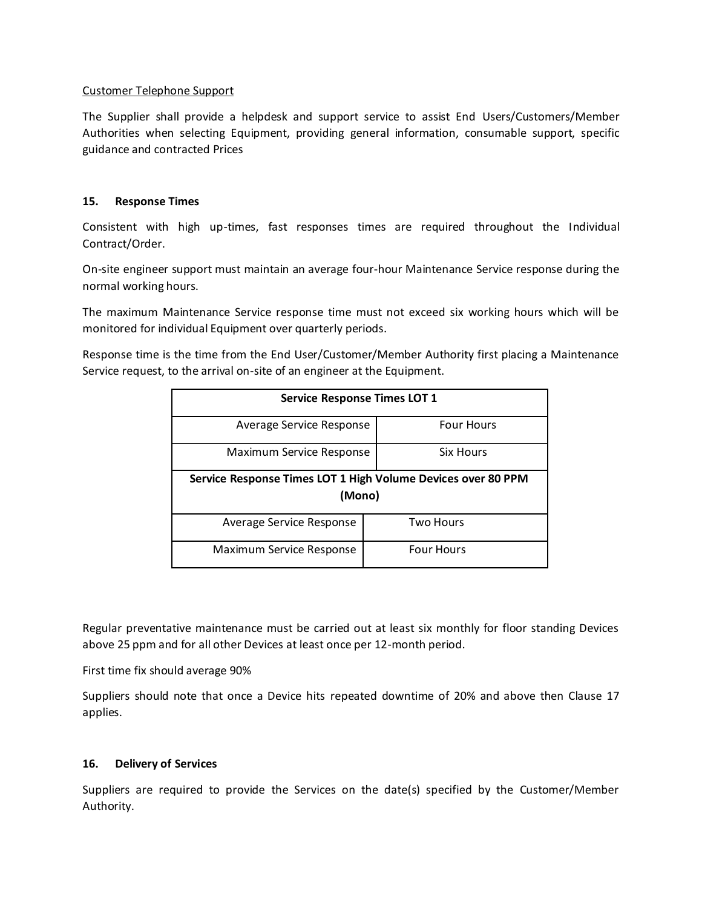#### Customer Telephone Support

The Supplier shall provide a helpdesk and support service to assist End Users/Customers/Member Authorities when selecting Equipment, providing general information, consumable support, specific guidance and contracted Prices

#### **15. Response Times**

Consistent with high up-times, fast responses times are required throughout the Individual Contract/Order.

On-site engineer support must maintain an average four-hour Maintenance Service response during the normal working hours.

The maximum Maintenance Service response time must not exceed six working hours which will be monitored for individual Equipment over quarterly periods.

Response time is the time from the End User/Customer/Member Authority first placing a Maintenance Service request, to the arrival on-site of an engineer at the Equipment.

| <b>Service Response Times LOT 1</b>                                    |                   |  |
|------------------------------------------------------------------------|-------------------|--|
| Average Service Response                                               | <b>Four Hours</b> |  |
| Maximum Service Response                                               | Six Hours         |  |
| Service Response Times LOT 1 High Volume Devices over 80 PPM<br>(Mono) |                   |  |
| Average Service Response                                               | <b>Two Hours</b>  |  |
| Maximum Service Response                                               | <b>Four Hours</b> |  |

Regular preventative maintenance must be carried out at least six monthly for floor standing Devices above 25 ppm and for all other Devices at least once per 12-month period.

First time fix should average 90%

Suppliers should note that once a Device hits repeated downtime of 20% and above then Clause 17 applies.

### **16. Delivery of Services**

Suppliers are required to provide the Services on the date(s) specified by the Customer/Member Authority.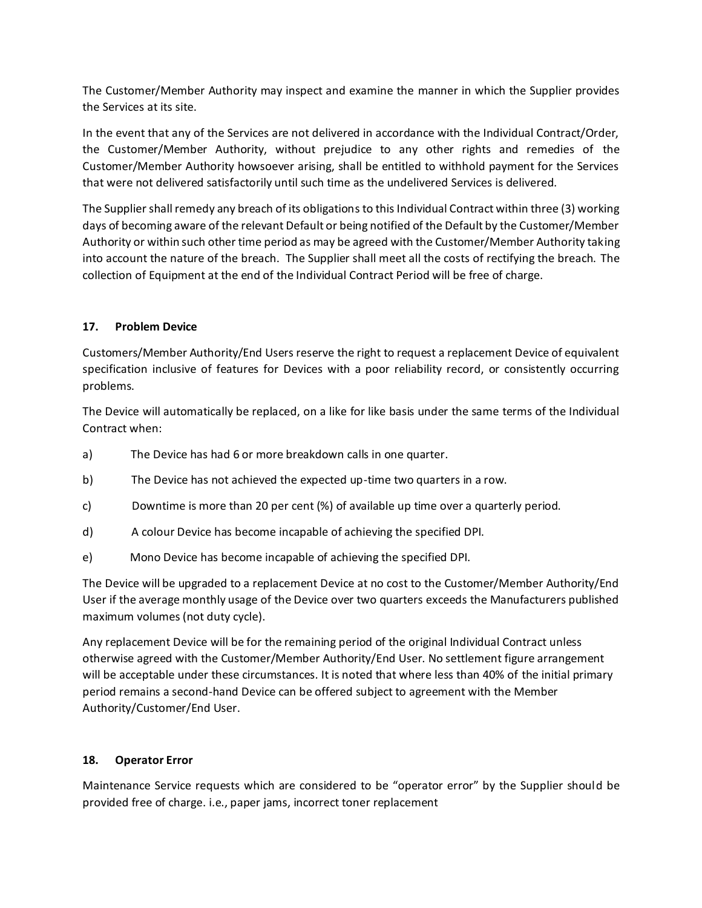The Customer/Member Authority may inspect and examine the manner in which the Supplier provides the Services at its site.

In the event that any of the Services are not delivered in accordance with the Individual Contract/Order, the Customer/Member Authority, without prejudice to any other rights and remedies of the Customer/Member Authority howsoever arising, shall be entitled to withhold payment for the Services that were not delivered satisfactorily until such time as the undelivered Services is delivered.

The Supplier shall remedy any breach of its obligations to this Individual Contract within three (3) working days of becoming aware of the relevant Default or being notified of the Default by the Customer/Member Authority or within such other time period as may be agreed with the Customer/Member Authority taking into account the nature of the breach. The Supplier shall meet all the costs of rectifying the breach. The collection of Equipment at the end of the Individual Contract Period will be free of charge.

## **17. Problem Device**

Customers/Member Authority/End Users reserve the right to request a replacement Device of equivalent specification inclusive of features for Devices with a poor reliability record, or consistently occurring problems.

The Device will automatically be replaced, on a like for like basis under the same terms of the Individual Contract when:

- a) The Device has had 6 or more breakdown calls in one quarter.
- b) The Device has not achieved the expected up-time two quarters in a row.
- c) Downtime is more than 20 per cent (%) of available up time over a quarterly period.
- d) A colour Device has become incapable of achieving the specified DPI.
- e) Mono Device has become incapable of achieving the specified DPI.

The Device will be upgraded to a replacement Device at no cost to the Customer/Member Authority/End User if the average monthly usage of the Device over two quarters exceeds the Manufacturers published maximum volumes (not duty cycle).

Any replacement Device will be for the remaining period of the original Individual Contract unless otherwise agreed with the Customer/Member Authority/End User. No settlement figure arrangement will be acceptable under these circumstances. It is noted that where less than 40% of the initial primary period remains a second-hand Device can be offered subject to agreement with the Member Authority/Customer/End User.

### **18. Operator Error**

Maintenance Service requests which are considered to be "operator error" by the Supplier should be provided free of charge. i.e., paper jams, incorrect toner replacement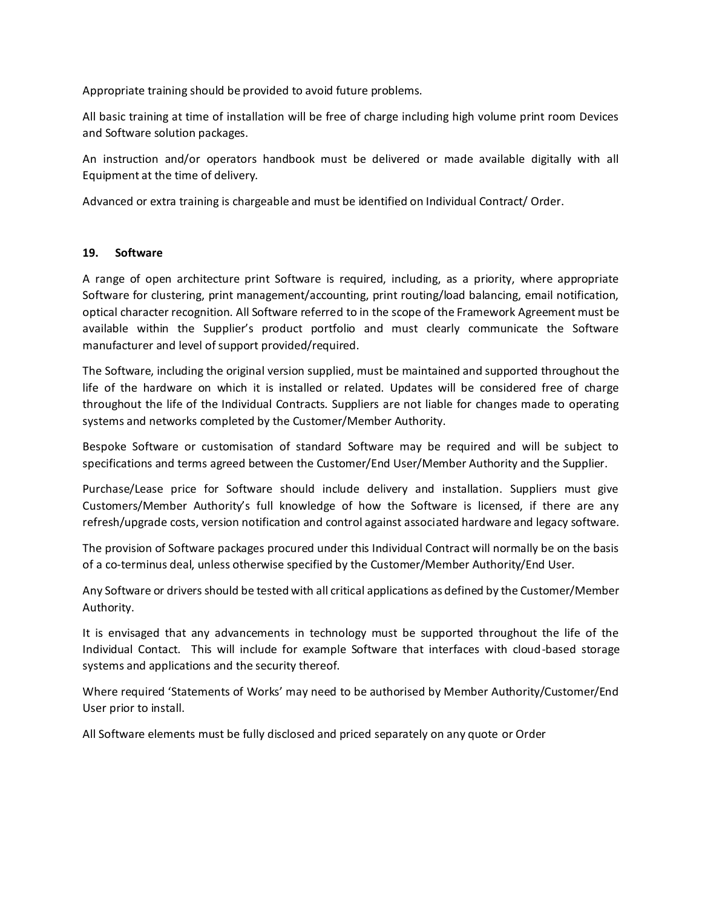Appropriate training should be provided to avoid future problems.

All basic training at time of installation will be free of charge including high volume print room Devices and Software solution packages.

An instruction and/or operators handbook must be delivered or made available digitally with all Equipment at the time of delivery.

Advanced or extra training is chargeable and must be identified on Individual Contract/ Order.

### **19. Software**

A range of open architecture print Software is required, including, as a priority, where appropriate Software for clustering, print management/accounting, print routing/load balancing, email notification, optical character recognition. All Software referred to in the scope of the Framework Agreement must be available within the Supplier's product portfolio and must clearly communicate the Software manufacturer and level of support provided/required.

The Software, including the original version supplied, must be maintained and supported throughout the life of the hardware on which it is installed or related. Updates will be considered free of charge throughout the life of the Individual Contracts. Suppliers are not liable for changes made to operating systems and networks completed by the Customer/Member Authority.

Bespoke Software or customisation of standard Software may be required and will be subject to specifications and terms agreed between the Customer/End User/Member Authority and the Supplier.

Purchase/Lease price for Software should include delivery and installation. Suppliers must give Customers/Member Authority's full knowledge of how the Software is licensed, if there are any refresh/upgrade costs, version notification and control against associated hardware and legacy software.

The provision of Software packages procured under this Individual Contract will normally be on the basis of a co-terminus deal, unless otherwise specified by the Customer/Member Authority/End User.

Any Software or drivers should be tested with all critical applications as defined by the Customer/Member Authority.

It is envisaged that any advancements in technology must be supported throughout the life of the Individual Contact. This will include for example Software that interfaces with cloud-based storage systems and applications and the security thereof.

Where required 'Statements of Works' may need to be authorised by Member Authority/Customer/End User prior to install.

All Software elements must be fully disclosed and priced separately on any quote or Order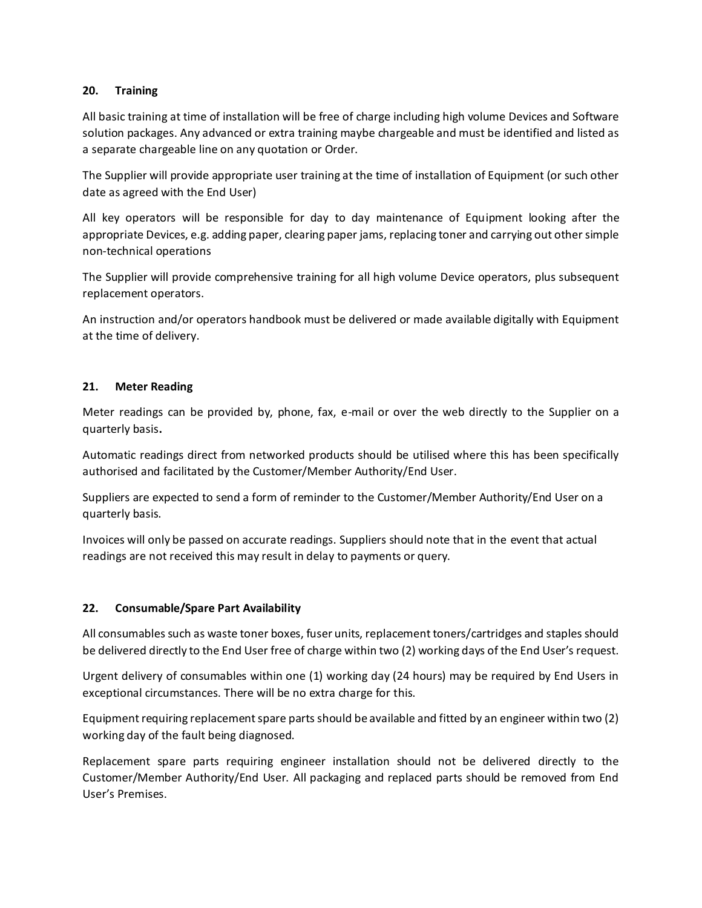### **20. Training**

All basic training at time of installation will be free of charge including high volume Devices and Software solution packages. Any advanced or extra training maybe chargeable and must be identified and listed as a separate chargeable line on any quotation or Order.

The Supplier will provide appropriate user training at the time of installation of Equipment (or such other date as agreed with the End User)

All key operators will be responsible for day to day maintenance of Equipment looking after the appropriate Devices, e.g. adding paper, clearing paper jams, replacing toner and carrying out other simple non-technical operations

The Supplier will provide comprehensive training for all high volume Device operators, plus subsequent replacement operators.

An instruction and/or operators handbook must be delivered or made available digitally with Equipment at the time of delivery.

## **21. Meter Reading**

Meter readings can be provided by, phone, fax, e-mail or over the web directly to the Supplier on a quarterly basis**.**

Automatic readings direct from networked products should be utilised where this has been specifically authorised and facilitated by the Customer/Member Authority/End User.

Suppliers are expected to send a form of reminder to the Customer/Member Authority/End User on a quarterly basis.

Invoices will only be passed on accurate readings. Suppliers should note that in the event that actual readings are not received this may result in delay to payments or query.

## **22. Consumable/Spare Part Availability**

All consumables such as waste toner boxes, fuser units, replacement toners/cartridges and staples should be delivered directly to the End User free of charge within two (2) working days of the End User's request.

Urgent delivery of consumables within one (1) working day (24 hours) may be required by End Users in exceptional circumstances. There will be no extra charge for this.

Equipment requiring replacement spare parts should be available and fitted by an engineer within two (2) working day of the fault being diagnosed.

Replacement spare parts requiring engineer installation should not be delivered directly to the Customer/Member Authority/End User. All packaging and replaced parts should be removed from End User's Premises.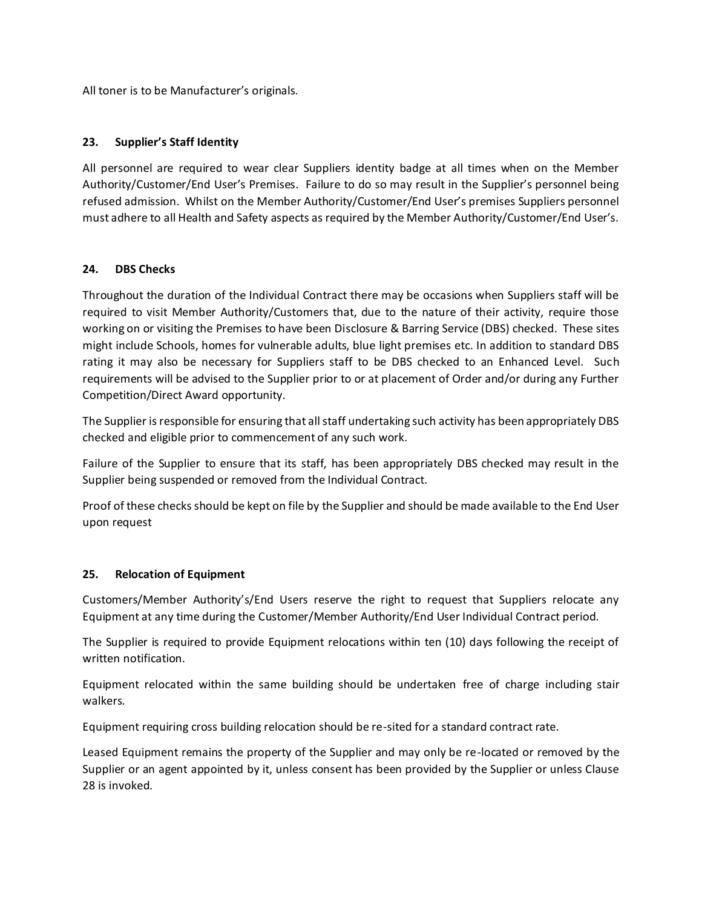All toner is to be Manufacturer's originals.

## **23. Supplier's Staff Identity**

All personnel are required to wear clear Suppliers identity badge at all times when on the Member Authority/Customer/End User's Premises. Failure to do so may result in the Supplier's personnel being refused admission. Whilst on the Member Authority/Customer/End User's premises Suppliers personnel must adhere to all Health and Safety aspects as required by the Member Authority/Customer/End User's.

## **24. DBS Checks**

Throughout the duration of the Individual Contract there may be occasions when Suppliers staff will be required to visit Member Authority/Customers that, due to the nature of their activity, require those working on or visiting the Premises to have been Disclosure & Barring Service (DBS) checked. These sites might include Schools, homes for vulnerable adults, blue light premises etc. In addition to standard DBS rating it may also be necessary for Suppliers staff to be DBS checked to an Enhanced Level. Such requirements will be advised to the Supplier prior to or at placement of Order and/or during any Further Competition/Direct Award opportunity.

The Supplier is responsible for ensuring that all staff undertaking such activity has been appropriately DBS checked and eligible prior to commencement of any such work.

Failure of the Supplier to ensure that its staff, has been appropriately DBS checked may result in the Supplier being suspended or removed from the Individual Contract.

Proof of these checks should be kept on file by the Supplier and should be made available to the End User upon request

## **25. Relocation of Equipment**

Customers/Member Authority's/End Users reserve the right to request that Suppliers relocate any Equipment at any time during the Customer/Member Authority/End User Individual Contract period.

The Supplier is required to provide Equipment relocations within ten (10) days following the receipt of written notification.

Equipment relocated within the same building should be undertaken free of charge including stair walkers.

Equipment requiring cross building relocation should be re-sited for a standard contract rate.

Leased Equipment remains the property of the Supplier and may only be re-located or removed by the Supplier or an agent appointed by it, unless consent has been provided by the Supplier or unless Clause 28 is invoked.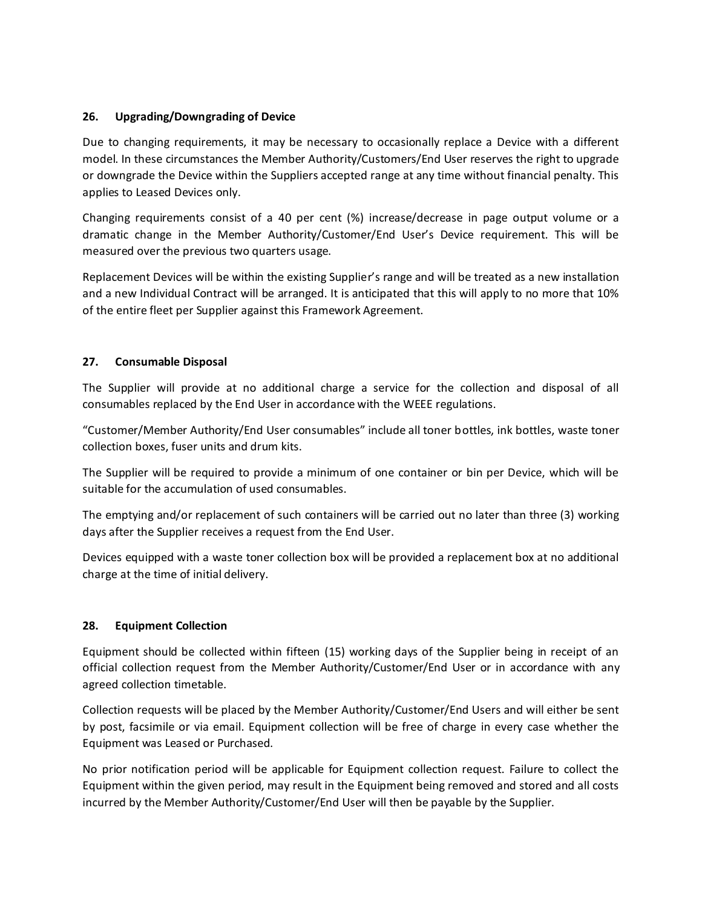### **26. Upgrading/Downgrading of Device**

Due to changing requirements, it may be necessary to occasionally replace a Device with a different model. In these circumstances the Member Authority/Customers/End User reserves the right to upgrade or downgrade the Device within the Suppliers accepted range at any time without financial penalty. This applies to Leased Devices only.

Changing requirements consist of a 40 per cent (%) increase/decrease in page output volume or a dramatic change in the Member Authority/Customer/End User's Device requirement. This will be measured over the previous two quarters usage.

Replacement Devices will be within the existing Supplier's range and will be treated as a new installation and a new Individual Contract will be arranged. It is anticipated that this will apply to no more that 10% of the entire fleet per Supplier against this Framework Agreement.

## **27. Consumable Disposal**

The Supplier will provide at no additional charge a service for the collection and disposal of all consumables replaced by the End User in accordance with the WEEE regulations.

"Customer/Member Authority/End User consumables" include all toner bottles, ink bottles, waste toner collection boxes, fuser units and drum kits.

The Supplier will be required to provide a minimum of one container or bin per Device, which will be suitable for the accumulation of used consumables.

The emptying and/or replacement of such containers will be carried out no later than three (3) working days after the Supplier receives a request from the End User.

Devices equipped with a waste toner collection box will be provided a replacement box at no additional charge at the time of initial delivery.

### **28. Equipment Collection**

Equipment should be collected within fifteen (15) working days of the Supplier being in receipt of an official collection request from the Member Authority/Customer/End User or in accordance with any agreed collection timetable.

Collection requests will be placed by the Member Authority/Customer/End Users and will either be sent by post, facsimile or via email. Equipment collection will be free of charge in every case whether the Equipment was Leased or Purchased.

No prior notification period will be applicable for Equipment collection request. Failure to collect the Equipment within the given period, may result in the Equipment being removed and stored and all costs incurred by the Member Authority/Customer/End User will then be payable by the Supplier.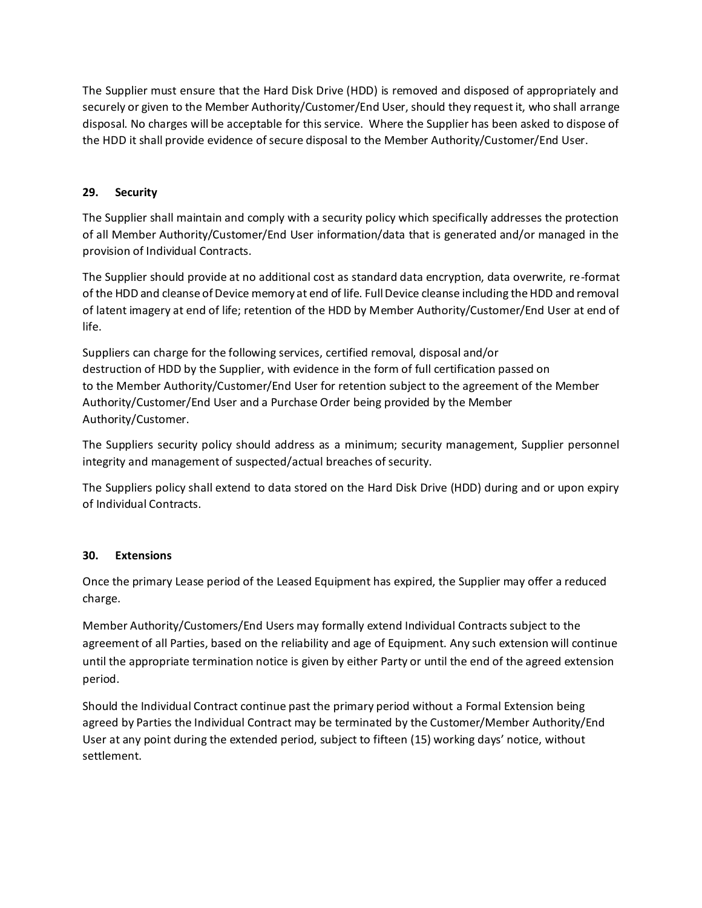The Supplier must ensure that the Hard Disk Drive (HDD) is removed and disposed of appropriately and securely or given to the Member Authority/Customer/End User, should they request it, who shall arrange disposal. No charges will be acceptable for this service. Where the Supplier has been asked to dispose of the HDD it shall provide evidence of secure disposal to the Member Authority/Customer/End User.

# **29. Security**

The Supplier shall maintain and comply with a security policy which specifically addresses the protection of all Member Authority/Customer/End User information/data that is generated and/or managed in the provision of Individual Contracts.

The Supplier should provide at no additional cost as standard data encryption, data overwrite, re-format of the HDD and cleanse of Device memory at end of life. Full Device cleanse including the HDD and removal of latent imagery at end of life; retention of the HDD by Member Authority/Customer/End User at end of life.

Suppliers can charge for the following services, certified removal, disposal and/or destruction of HDD by the Supplier, with evidence in the form of full certification passed on to the Member Authority/Customer/End User for retention subject to the agreement of the Member Authority/Customer/End User and a Purchase Order being provided by the Member Authority/Customer.

The Suppliers security policy should address as a minimum; security management, Supplier personnel integrity and management of suspected/actual breaches of security.

The Suppliers policy shall extend to data stored on the Hard Disk Drive (HDD) during and or upon expiry of Individual Contracts.

## **30. Extensions**

Once the primary Lease period of the Leased Equipment has expired, the Supplier may offer a reduced charge.

Member Authority/Customers/End Users may formally extend Individual Contracts subject to the agreement of all Parties, based on the reliability and age of Equipment. Any such extension will continue until the appropriate termination notice is given by either Party or until the end of the agreed extension period.

Should the Individual Contract continue past the primary period without a Formal Extension being agreed by Parties the Individual Contract may be terminated by the Customer/Member Authority/End User at any point during the extended period, subject to fifteen (15) working days' notice, without settlement.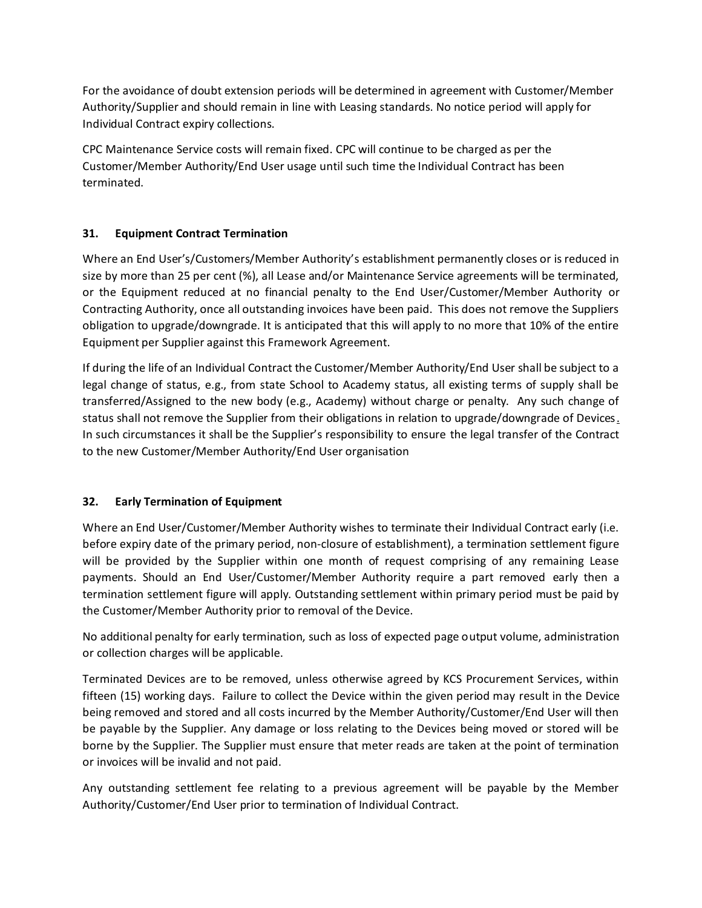For the avoidance of doubt extension periods will be determined in agreement with Customer/Member Authority/Supplier and should remain in line with Leasing standards. No notice period will apply for Individual Contract expiry collections.

CPC Maintenance Service costs will remain fixed. CPC will continue to be charged as per the Customer/Member Authority/End User usage until such time the Individual Contract has been terminated.

## **31. Equipment Contract Termination**

Where an End User's/Customers/Member Authority's establishment permanently closes or is reduced in size by more than 25 per cent (%), all Lease and/or Maintenance Service agreements will be terminated, or the Equipment reduced at no financial penalty to the End User/Customer/Member Authority or Contracting Authority, once all outstanding invoices have been paid. This does not remove the Suppliers obligation to upgrade/downgrade. It is anticipated that this will apply to no more that 10% of the entire Equipment per Supplier against this Framework Agreement.

If during the life of an Individual Contract the Customer/Member Authority/End User shall be subject to a legal change of status, e.g., from state School to Academy status, all existing terms of supply shall be transferred/Assigned to the new body (e.g., Academy) without charge or penalty. Any such change of status shall not remove the Supplier from their obligations in relation to upgrade/downgrade of Devices. In such circumstances it shall be the Supplier's responsibility to ensure the legal transfer of the Contract to the new Customer/Member Authority/End User organisation

## **32. Early Termination of Equipment**

Where an End User/Customer/Member Authority wishes to terminate their Individual Contract early (i.e. before expiry date of the primary period, non-closure of establishment), a termination settlement figure will be provided by the Supplier within one month of request comprising of any remaining Lease payments. Should an End User/Customer/Member Authority require a part removed early then a termination settlement figure will apply. Outstanding settlement within primary period must be paid by the Customer/Member Authority prior to removal of the Device.

No additional penalty for early termination, such as loss of expected page output volume, administration or collection charges will be applicable.

Terminated Devices are to be removed, unless otherwise agreed by KCS Procurement Services, within fifteen (15) working days. Failure to collect the Device within the given period may result in the Device being removed and stored and all costs incurred by the Member Authority/Customer/End User will then be payable by the Supplier. Any damage or loss relating to the Devices being moved or stored will be borne by the Supplier. The Supplier must ensure that meter reads are taken at the point of termination or invoices will be invalid and not paid.

Any outstanding settlement fee relating to a previous agreement will be payable by the Member Authority/Customer/End User prior to termination of Individual Contract.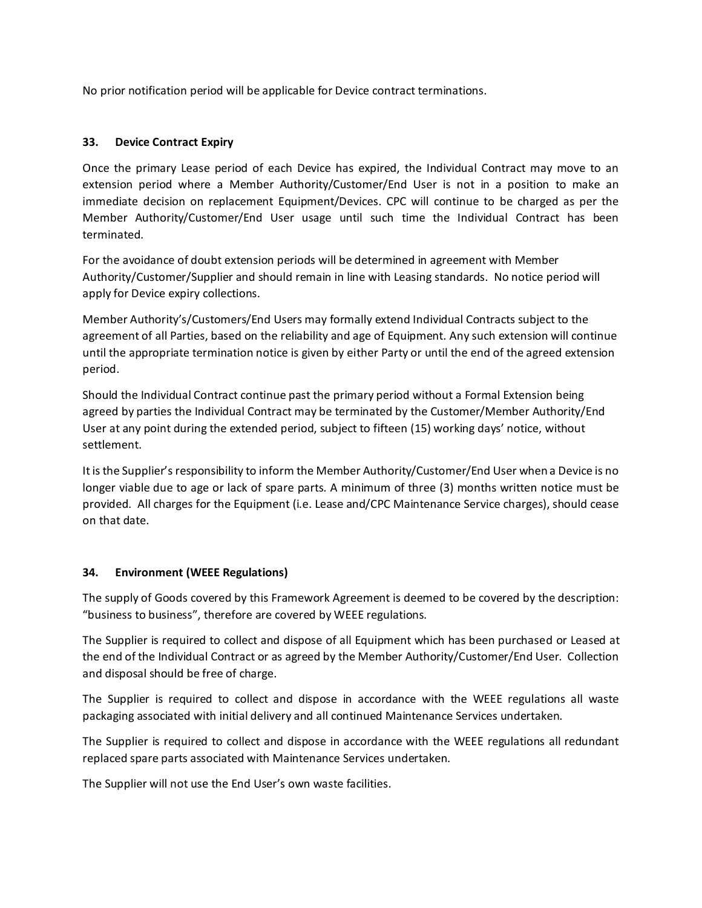No prior notification period will be applicable for Device contract terminations.

## **33. Device Contract Expiry**

Once the primary Lease period of each Device has expired, the Individual Contract may move to an extension period where a Member Authority/Customer/End User is not in a position to make an immediate decision on replacement Equipment/Devices. CPC will continue to be charged as per the Member Authority/Customer/End User usage until such time the Individual Contract has been terminated.

For the avoidance of doubt extension periods will be determined in agreement with Member Authority/Customer/Supplier and should remain in line with Leasing standards. No notice period will apply for Device expiry collections.

Member Authority's/Customers/End Users may formally extend Individual Contracts subject to the agreement of all Parties, based on the reliability and age of Equipment. Any such extension will continue until the appropriate termination notice is given by either Party or until the end of the agreed extension period.

Should the Individual Contract continue past the primary period without a Formal Extension being agreed by parties the Individual Contract may be terminated by the Customer/Member Authority/End User at any point during the extended period, subject to fifteen (15) working days' notice, without settlement.

It is the Supplier's responsibility to inform the Member Authority/Customer/End User when a Device is no longer viable due to age or lack of spare parts. A minimum of three (3) months written notice must be provided. All charges for the Equipment (i.e. Lease and/CPC Maintenance Service charges), should cease on that date.

## **34. Environment (WEEE Regulations)**

The supply of Goods covered by this Framework Agreement is deemed to be covered by the description: "business to business", therefore are covered by WEEE regulations.

The Supplier is required to collect and dispose of all Equipment which has been purchased or Leased at the end of the Individual Contract or as agreed by the Member Authority/Customer/End User. Collection and disposal should be free of charge.

The Supplier is required to collect and dispose in accordance with the WEEE regulations all waste packaging associated with initial delivery and all continued Maintenance Services undertaken.

The Supplier is required to collect and dispose in accordance with the WEEE regulations all redundant replaced spare parts associated with Maintenance Services undertaken.

The Supplier will not use the End User's own waste facilities.